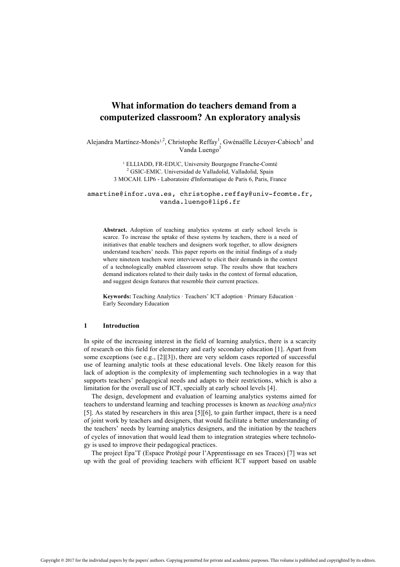# **What information do teachers demand from a computerized classroom? An exploratory analysis**

Alejandra Martínez-Monés<sup>1,2</sup>, Christophe Reffay<sup>1</sup>, Gwénaëlle Lécuyer-Cabioch<sup>3</sup> and Vanda Luengo $3$ 

> <sup>1</sup> ELLIADD, FR-EDUC, University Bourgogne Franche-Comté <sup>2</sup> GSIC-EMIC. Universidad de Valladolid, Valladolid, Spain 3 MOCAH. LIP6 - Laboratoire d'Informatique de Paris 6, Paris, France

amartine@infor.uva.es, christophe.reffay@univ-fcomte.fr, vanda.luengo@lip6.fr

**Abstract.** Adoption of teaching analytics systems at early school levels is scarce. To increase the uptake of these systems by teachers, there is a need of initiatives that enable teachers and designers work together, to allow designers understand teachers' needs. This paper reports on the initial findings of a study where nineteen teachers were interviewed to elicit their demands in the context of a technologically enabled classroom setup. The results show that teachers demand indicators related to their daily tasks in the context of formal education, and suggest design features that resemble their current practices.

**Keywords:** Teaching Analytics · Teachers' ICT adoption · Primary Education · Early Secondary Education

### **1 Introduction**

In spite of the increasing interest in the field of learning analytics, there is a scarcity of research on this field for elementary and early secondary education [1]. Apart from some exceptions (see e.g., [2][3]), there are very seldom cases reported of successful use of learning analytic tools at these educational levels. One likely reason for this lack of adoption is the complexity of implementing such technologies in a way that supports teachers' pedagogical needs and adapts to their restrictions, which is also a limitation for the overall use of ICT, specially at early school levels [4].

The design, development and evaluation of learning analytics systems aimed for teachers to understand learning and teaching processes is known as *teaching analytics*  [5]. As stated by researchers in this area [5][6], to gain further impact, there is a need of joint work by teachers and designers, that would facilitate a better understanding of the teachers' needs by learning analytics designers, and the initiation by the teachers of cycles of innovation that would lead them to integration strategies where technology is used to improve their pedagogical practices.

The project Epa'T (Espace Protégé pour l'Apprentissage en ses Traces) [7] was set up with the goal of providing teachers with efficient ICT support based on usable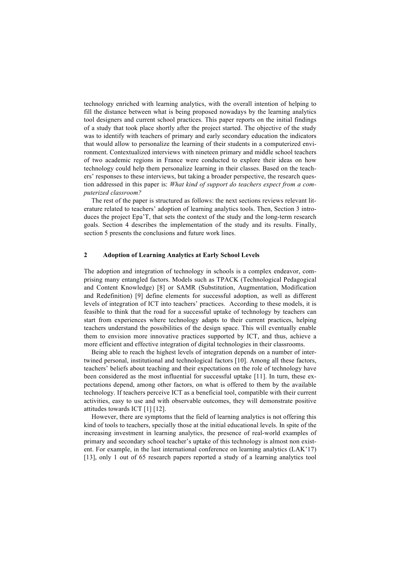technology enriched with learning analytics, with the overall intention of helping to fill the distance between what is being proposed nowadays by the learning analytics tool designers and current school practices. This paper reports on the initial findings of a study that took place shortly after the project started. The objective of the study was to identify with teachers of primary and early secondary education the indicators that would allow to personalize the learning of their students in a computerized environment. Contextualized interviews with nineteen primary and middle school teachers of two academic regions in France were conducted to explore their ideas on how technology could help them personalize learning in their classes. Based on the teachers' responses to these interviews, but taking a broader perspective, the research question addressed in this paper is: *What kind of support do teachers expect from a computerized classroom?*

The rest of the paper is structured as follows: the next sections reviews relevant literature related to teachers' adoption of learning analytics tools. Then, Section 3 introduces the project Epa'T, that sets the context of the study and the long-term research goals. Section 4 describes the implementation of the study and its results. Finally, section 5 presents the conclusions and future work lines.

# **2 Adoption of Learning Analytics at Early School Levels**

The adoption and integration of technology in schools is a complex endeavor, comprising many entangled factors. Models such as TPACK (Technological Pedagogical and Content Knowledge) [8] or SAMR (Substitution, Augmentation, Modification and Redefinition) [9] define elements for successful adoption, as well as different levels of integration of ICT into teachers' practices. According to these models, it is feasible to think that the road for a successful uptake of technology by teachers can start from experiences where technology adapts to their current practices, helping teachers understand the possibilities of the design space. This will eventually enable them to envision more innovative practices supported by ICT, and thus, achieve a more efficient and effective integration of digital technologies in their classrooms.

Being able to reach the highest levels of integration depends on a number of intertwined personal, institutional and technological factors [10]. Among all these factors, teachers' beliefs about teaching and their expectations on the role of technology have been considered as the most influential for successful uptake [11]. In turn, these expectations depend, among other factors, on what is offered to them by the available technology. If teachers perceive ICT as a beneficial tool, compatible with their current activities, easy to use and with observable outcomes, they will demonstrate positive attitudes towards ICT [1] [12].

However, there are symptoms that the field of learning analytics is not offering this kind of tools to teachers, specially those at the initial educational levels. In spite of the increasing investment in learning analytics, the presence of real-world examples of primary and secondary school teacher's uptake of this technology is almost non existent. For example, in the last international conference on learning analytics (LAK'17) [13], only 1 out of 65 research papers reported a study of a learning analytics tool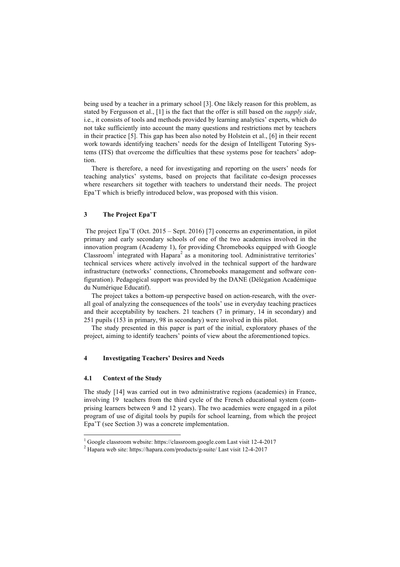being used by a teacher in a primary school [3]. One likely reason for this problem, as stated by Fergusson et al., [1] is the fact that the offer is still based on the *supply side*, i.e., it consists of tools and methods provided by learning analytics' experts, which do not take sufficiently into account the many questions and restrictions met by teachers in their practice [5]. This gap has been also noted by Holstein et al., [6] in their recent work towards identifying teachers' needs for the design of Intelligent Tutoring Systems (ITS) that overcome the difficulties that these systems pose for teachers' adoption.

There is therefore, a need for investigating and reporting on the users' needs for teaching analytics' systems, based on projects that facilitate co-design processes where researchers sit together with teachers to understand their needs. The project Epa'T which is briefly introduced below, was proposed with this vision.

# **3 The Project Epa'T**

The project Epa'T (Oct. 2015 – Sept. 2016) [7] concerns an experimentation, in pilot primary and early secondary schools of one of the two academies involved in the innovation program (Academy 1), for providing Chromebooks equipped with Google  $\text{Classroom}^1$  integrated with Hapara<sup>2</sup> as a monitoring tool. Administrative territories' technical services where actively involved in the technical support of the hardware infrastructure (networks' connections, Chromebooks management and software configuration). Pedagogical support was provided by the DANE (Délégation Académique du Numérique Educatif).

The project takes a bottom-up perspective based on action-research, with the overall goal of analyzing the consequences of the tools' use in everyday teaching practices and their acceptability by teachers. 21 teachers (7 in primary, 14 in secondary) and 251 pupils (153 in primary, 98 in secondary) were involved in this pilot.

The study presented in this paper is part of the initial, exploratory phases of the project, aiming to identify teachers' points of view about the aforementioned topics.

# **4 Investigating Teachers' Desires and Needs**

## **4.1 Context of the Study**

The study [14] was carried out in two administrative regions (academies) in France, involving 19 teachers from the third cycle of the French educational system (comprising learners between 9 and 12 years). The two academies were engaged in a pilot program of use of digital tools by pupils for school learning, from which the project Epa'T (see Section 3) was a concrete implementation.

<sup>1</sup> Google classroom website: https://classroom.google.com Last visit 12-4-2017

<sup>2</sup> Hapara web site: https://hapara.com/products/g-suite/ Last visit 12-4-2017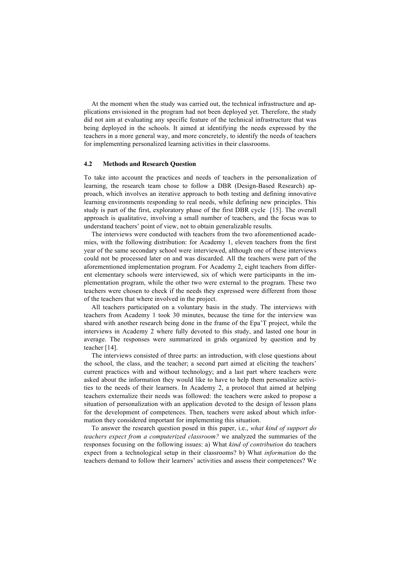At the moment when the study was carried out, the technical infrastructure and applications envisioned in the program had not been deployed yet. Therefore, the study did not aim at evaluating any specific feature of the technical infrastructure that was being deployed in the schools. It aimed at identifying the needs expressed by the teachers in a more general way, and more concretely, to identify the needs of teachers for implementing personalized learning activities in their classrooms.

#### **4.2 Methods and Research Question**

To take into account the practices and needs of teachers in the personalization of learning, the research team chose to follow a DBR (Design-Based Research) approach, which involves an iterative approach to both testing and defining innovative learning environments responding to real needs, while defining new principles. This study is part of the first, exploratory phase of the first DBR cycle [15]. The overall approach is qualitative, involving a small number of teachers, and the focus was to understand teachers' point of view, not to obtain generalizable results.

The interviews were conducted with teachers from the two aforementioned academies, with the following distribution: for Academy 1, eleven teachers from the first year of the same secondary school were interviewed, although one of these interviews could not be processed later on and was discarded. All the teachers were part of the aforementioned implementation program. For Academy 2, eight teachers from different elementary schools were interviewed, six of which were participants in the implementation program, while the other two were external to the program. These two teachers were chosen to check if the needs they expressed were different from those of the teachers that where involved in the project.

All teachers participated on a voluntary basis in the study. The interviews with teachers from Academy 1 took 30 minutes, because the time for the interview was shared with another research being done in the frame of the Epa'T project, while the interviews in Academy 2 where fully devoted to this study, and lasted one hour in average. The responses were summarized in grids organized by question and by teacher [14].

The interviews consisted of three parts: an introduction, with close questions about the school, the class, and the teacher; a second part aimed at eliciting the teachers' current practices with and without technology; and a last part where teachers were asked about the information they would like to have to help them personalize activities to the needs of their learners. In Academy 2, a protocol that aimed at helping teachers externalize their needs was followed: the teachers were asked to propose a situation of personalization with an application devoted to the design of lesson plans for the development of competences. Then, teachers were asked about which information they considered important for implementing this situation.

To answer the research question posed in this paper, i.e., *what kind of support do teachers expect from a computerized classroom?* we analyzed the summaries of the responses focusing on the following issues: a) What *kind of contribution* do teachers expect from a technological setup in their classrooms? b) What *information* do the teachers demand to follow their learners' activities and assess their competences? We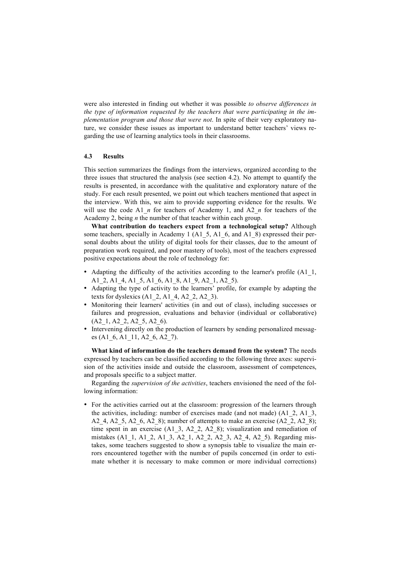were also interested in finding out whether it was possible *to observe differences in the type of information requested by the teachers that were participating in the implementation program and those that were not*. In spite of their very exploratory nature, we consider these issues as important to understand better teachers' views regarding the use of learning analytics tools in their classrooms.

## **4.3 Results**

This section summarizes the findings from the interviews, organized according to the three issues that structured the analysis (see section 4.2). No attempt to quantify the results is presented, in accordance with the qualitative and exploratory nature of the study. For each result presented, we point out which teachers mentioned that aspect in the interview. With this, we aim to provide supporting evidence for the results. We will use the code A1 *n* for teachers of Academy 1, and A2 *n* for teachers of the Academy 2, being *n* the number of that teacher within each group.

**What contribution do teachers expect from a technological setup?** Although some teachers, specially in Academy 1 (A1–5, A1–6, and A1–8) expressed their personal doubts about the utility of digital tools for their classes, due to the amount of preparation work required, and poor mastery of tools), most of the teachers expressed positive expectations about the role of technology for:

- Adapting the difficulty of the activities according to the learner's profile (A1\_1, A1\_2, A1\_4, A1\_5, A1\_6, A1\_8, A1\_9, A2\_1, A2\_5).
- Adapting the type of activity to the learners' profile, for example by adapting the texts for dyslexics  $(A1\ 2, A1\ 4, A2\ 2, A2\ 3)$ .
- Monitoring their learners' activities (in and out of class), including successes or failures and progression, evaluations and behavior (individual or collaborative) (A2\_1, A2\_2, A2\_5, A2\_6).
- Intervening directly on the production of learners by sending personalized messages (A1\_6, A1\_11, A2\_6, A2\_7).

**What kind of information do the teachers demand from the system?** The needs expressed by teachers can be classified according to the following three axes: supervision of the activities inside and outside the classroom, assessment of competences, and proposals specific to a subject matter.

Regarding the *supervision of the activities*, teachers envisioned the need of the following information:

• For the activities carried out at the classroom: progression of the learners through the activities, including: number of exercises made (and not made) (A1\_2, A1\_3, A2\_4, A2\_5, A2\_6, A2\_8); number of attempts to make an exercise (A2\_2, A2\_8); time spent in an exercise (A1\_3, A2\_2, A2\_8); visualization and remediation of mistakes (A1\_1, A1\_2, A1\_3, A2\_1, A2\_2, A2\_3, A2\_4, A2\_5). Regarding mistakes, some teachers suggested to show a synopsis table to visualize the main errors encountered together with the number of pupils concerned (in order to estimate whether it is necessary to make common or more individual corrections)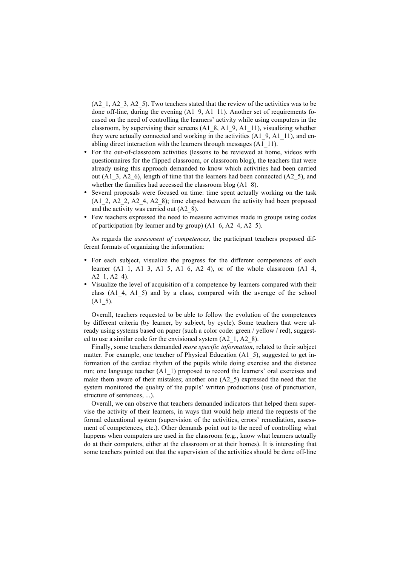$(A2\ 1, A2\ 3, A2\ 5)$ . Two teachers stated that the review of the activities was to be done off-line, during the evening (A1\_9, A1\_11). Another set of requirements focused on the need of controlling the learners' activity while using computers in the classroom, by supervising their screens (A1\_8, A1\_9, A1\_11), visualizing whether they were actually connected and working in the activities (A1\_9, A1\_11), and enabling direct interaction with the learners through messages (A1\_11).

- For the out-of-classroom activities (lessons to be reviewed at home, videos with questionnaires for the flipped classroom, or classroom blog), the teachers that were already using this approach demanded to know which activities had been carried out (A1\_3, A2\_6), length of time that the learners had been connected (A2\_5), and whether the families had accessed the classroom blog (A1–8).
- Several proposals were focused on time: time spent actually working on the task (A1\_2, A2\_2, A2\_4, A2\_8); time elapsed between the activity had been proposed and the activity was carried out (A2\_8).
- Few teachers expressed the need to measure activities made in groups using codes of participation (by learner and by group) (A1\_6, A2\_4, A2\_5).

As regards the *assessment of competences*, the participant teachers proposed different formats of organizing the information:

- For each subject, visualize the progress for the different competences of each learner (A1\_1, A1\_3, A1\_5, A1\_6, A2\_4), or of the whole classroom (A1\_4, A2 1, A2 4).
- Visualize the level of acquisition of a competence by learners compared with their class (A1\_4, A1\_5) and by a class, compared with the average of the school  $(A1_5)$ .

Overall, teachers requested to be able to follow the evolution of the competences by different criteria (by learner, by subject, by cycle). Some teachers that were already using systems based on paper (such a color code: green / yellow / red), suggested to use a similar code for the envisioned system (A2\_1, A2\_8).

Finally, some teachers demanded *more specific information*, related to their subject matter. For example, one teacher of Physical Education (A1\_5), suggested to get information of the cardiac rhythm of the pupils while doing exercise and the distance run; one language teacher (A1\_1) proposed to record the learners' oral exercises and make them aware of their mistakes; another one (A2\_5) expressed the need that the system monitored the quality of the pupils' written productions (use of punctuation, structure of sentences, ...).

Overall, we can observe that teachers demanded indicators that helped them supervise the activity of their learners, in ways that would help attend the requests of the formal educational system (supervision of the activities, errors' remediation, assessment of competences, etc.). Other demands point out to the need of controlling what happens when computers are used in the classroom (e.g., know what learners actually do at their computers, either at the classroom or at their homes). It is interesting that some teachers pointed out that the supervision of the activities should be done off-line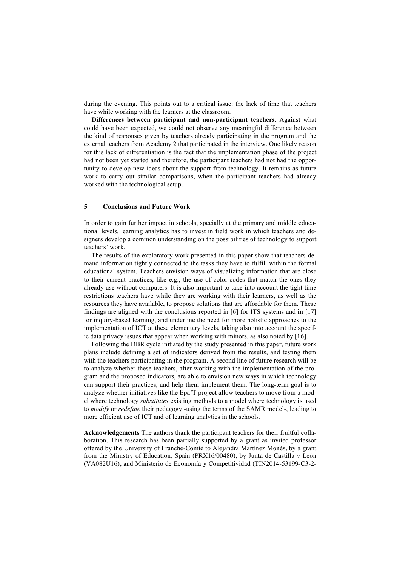during the evening. This points out to a critical issue: the lack of time that teachers have while working with the learners at the classroom.

**Differences between participant and non-participant teachers.** Against what could have been expected, we could not observe any meaningful difference between the kind of responses given by teachers already participating in the program and the external teachers from Academy 2 that participated in the interview. One likely reason for this lack of differentiation is the fact that the implementation phase of the project had not been yet started and therefore, the participant teachers had not had the opportunity to develop new ideas about the support from technology. It remains as future work to carry out similar comparisons, when the participant teachers had already worked with the technological setup.

## **5 Conclusions and Future Work**

In order to gain further impact in schools, specially at the primary and middle educational levels, learning analytics has to invest in field work in which teachers and designers develop a common understanding on the possibilities of technology to support teachers' work.

The results of the exploratory work presented in this paper show that teachers demand information tightly connected to the tasks they have to fulfill within the formal educational system. Teachers envision ways of visualizing information that are close to their current practices, like e.g., the use of color-codes that match the ones they already use without computers. It is also important to take into account the tight time restrictions teachers have while they are working with their learners, as well as the resources they have available, to propose solutions that are affordable for them. These findings are aligned with the conclusions reported in [6] for ITS systems and in [17] for inquiry-based learning, and underline the need for more holistic approaches to the implementation of ICT at these elementary levels, taking also into account the specific data privacy issues that appear when working with minors, as also noted by [16].

Following the DBR cycle initiated by the study presented in this paper, future work plans include defining a set of indicators derived from the results, and testing them with the teachers participating in the program. A second line of future research will be to analyze whether these teachers, after working with the implementation of the program and the proposed indicators, are able to envision new ways in which technology can support their practices, and help them implement them. The long-term goal is to analyze whether initiatives like the Epa'T project allow teachers to move from a model where technology *substitutes* existing methods to a model where technology is used to *modify* or *redefine* their pedagogy -using the terms of the SAMR model-, leading to more efficient use of ICT and of learning analytics in the schools.

**Acknowledgements** The authors thank the participant teachers for their fruitful collaboration. This research has been partially supported by a grant as invited professor offered by the University of Franche-Comté to Alejandra Martínez Monés, by a grant from the Ministry of Education, Spain (PRX16/00480), by Junta de Castilla y León (VA082U16), and Ministerio de Economía y Competitividad (TIN2014-53199-C3-2